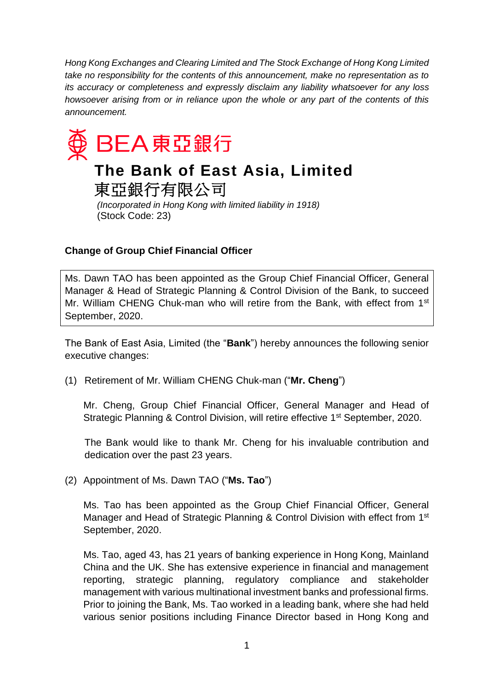*Hong Kong Exchanges and Clearing Limited and The Stock Exchange of Hong Kong Limited take no responsibility for the contents of this announcement, make no representation as to its accuracy or completeness and expressly disclaim any liability whatsoever for any loss howsoever arising from or in reliance upon the whole or any part of the contents of this announcement.*



## **Change of Group Chief Financial Officer**

Ms. Dawn TAO has been appointed as the Group Chief Financial Officer, General Manager & Head of Strategic Planning & Control Division of the Bank, to succeed Mr. William CHENG Chuk-man who will retire from the Bank, with effect from 1<sup>st</sup> September, 2020.

The Bank of East Asia, Limited (the "**Bank**") hereby announces the following senior executive changes:

(1) Retirement of Mr. William CHENG Chuk-man ("**Mr. Cheng**")

Mr. Cheng, Group Chief Financial Officer, General Manager and Head of Strategic Planning & Control Division, will retire effective 1<sup>st</sup> September, 2020.

The Bank would like to thank Mr. Cheng for his invaluable contribution and dedication over the past 23 years.

(2) Appointment of Ms. Dawn TAO ("**Ms. Tao**")

Ms. Tao has been appointed as the Group Chief Financial Officer, General Manager and Head of Strategic Planning & Control Division with effect from 1<sup>st</sup> September, 2020.

Ms. Tao, aged 43, has 21 years of banking experience in Hong Kong, Mainland China and the UK. She has extensive experience in financial and management reporting, strategic planning, regulatory compliance and stakeholder management with various multinational investment banks and professional firms. Prior to joining the Bank, Ms. Tao worked in a leading bank, where she had held various senior positions including Finance Director based in Hong Kong and